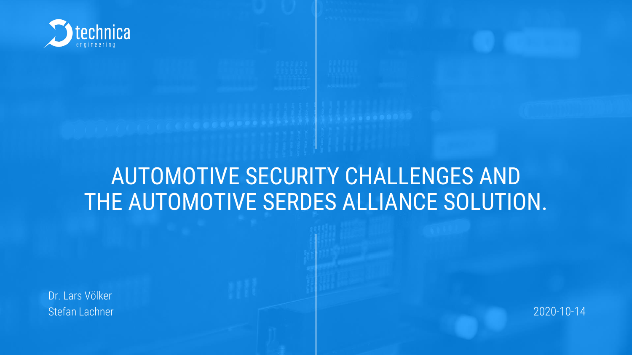

## AUTOMOTIVE SECURITY CHALLENGES AND THE AUTOMOTIVE SERDES ALLIANCE SOLUTION.

Dr. Lars Völker Stefan Lachner 2020-10-14

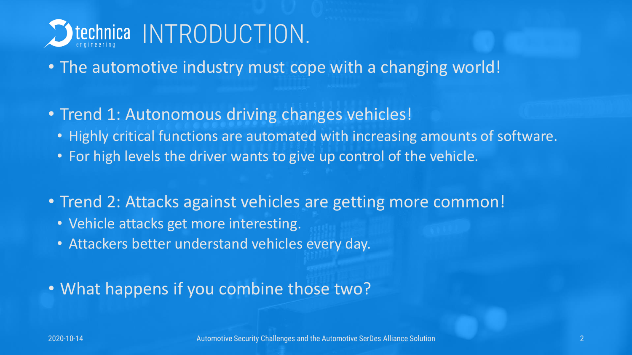

- The automotive industry must cope with a changing world!
- Trend 1: Autonomous driving changes vehicles!
	- Highly critical functions are automated with increasing amounts of software.
	- For high levels the driver wants to give up control of the vehicle.
- Trend 2: Attacks against vehicles are getting more common!
	- Vehicle attacks get more interesting.
	- Attackers better understand vehicles every day.
- What happens if you combine those two?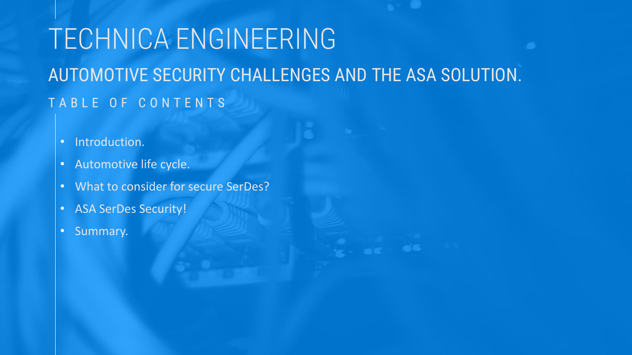## TABLE OF CONTENTS TECHNICA ENGINEERING AUTOMOTIVE SECURITY CHALLENGES AND THE ASA SOLUTION.

- Introduction.
- Automotive life cycle.
- What to consider for secure SerDes?
- ASA SerDes Security!
- Summary.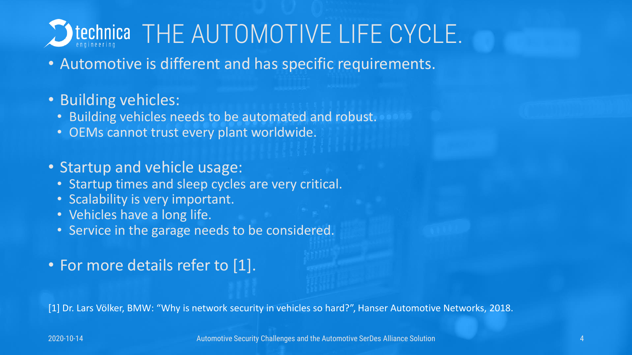

- Automotive is different and has specific requirements.
- Building vehicles:
	- Building vehicles needs to be automated and robust.
	- OEMs cannot trust every plant worldwide.
- Startup and vehicle usage:
	- Startup times and sleep cycles are very critical.
	- Scalability is very important.
	- Vehicles have a long life.
	- Service in the garage needs to be considered.
- For more details refer to [1].

[1] Dr. Lars Völker, BMW: "Why is network security in vehicles so hard?", Hanser Automotive Networks, 2018.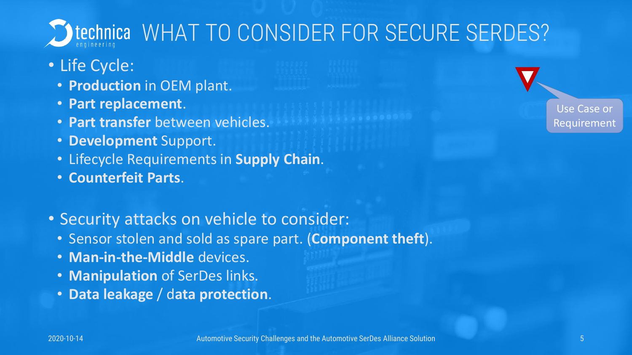

- Life Cycle:
	- **Production** in OEM plant.
	- **Part replacement**.
	- **Part transfer** between vehicles.
	- **Development** Support.
	- Lifecycle Requirements in **Supply Chain**.
	- **Counterfeit Parts**.
- Security attacks on vehicle to consider:
	- Sensor stolen and sold as spare part. (**Component theft**).
	- **Man-in-the-Middle** devices.
	- **Manipulation** of SerDes links.
	- **Data leakage** / d**ata protection**.

Use Case or **Requirement**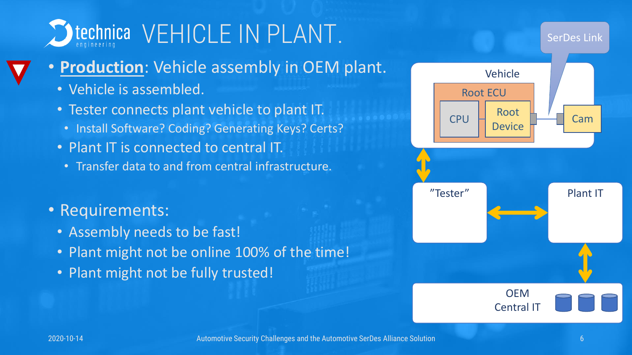

- **Production**: Vehicle assembly in OEM plant.
	- Vehicle is assembled.
	- Tester connects plant vehicle to plant IT.
	- Install Software? Coding? Generating Keys? Certs?
	- Plant IT is connected to central IT.
		- Transfer data to and from central infrastructure.
- Requirements:
	- Assembly needs to be fast!
	- Plant might not be online 100% of the time!
	- Plant might not be fully trusted!

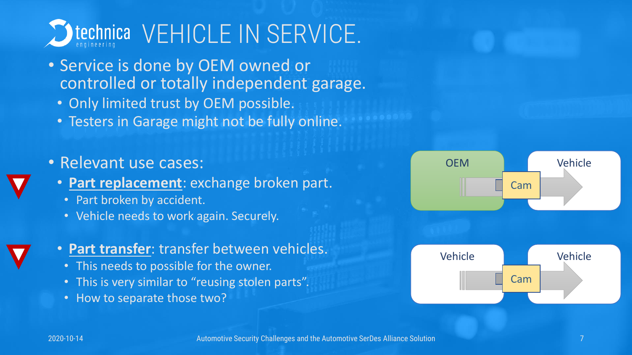

- Service is done by OEM owned or controlled or totally independent garage.
	- Only limited trust by OEM possible.
	- Testers in Garage might not be fully online.

• Relevant use cases:

- **Part replacement**: exchange broken part.
	- Part broken by accident.
	- Vehicle needs to work again. Securely.

#### • **Part transfer**: transfer between vehicles.

- This needs to possible for the owner.
- This is very similar to "reusing stolen parts".
- How to separate those two?

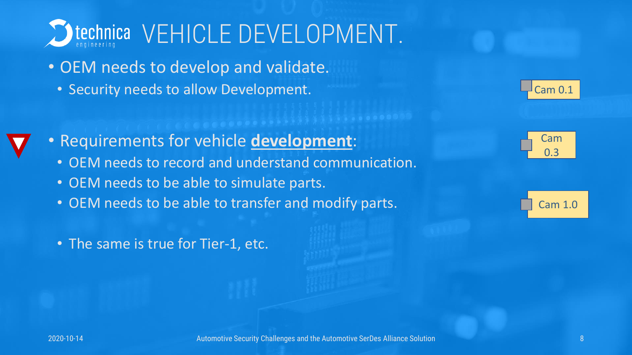

- OEM needs to develop and validate.
	- Security needs to allow Development.
- Requirements for vehicle **development**:
	- OEM needs to record and understand communication.
	- OEM needs to be able to simulate parts.
	- OEM needs to be able to transfer and modify parts.
	- The same is true for Tier-1, etc.





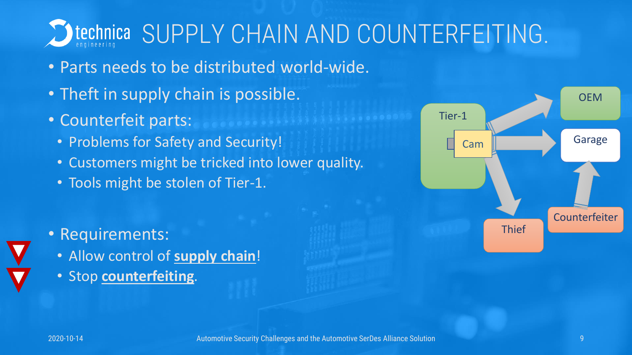

- Parts needs to be distributed world-wide.
- Theft in supply chain is possible.
- Counterfeit parts:
	- Problems for Safety and Security!
	- Customers might be tricked into lower quality.
	- Tools might be stolen of Tier-1.
- Requirements:
	- Allow control of **supply chain**!
	- Stop **counterfeiting**.

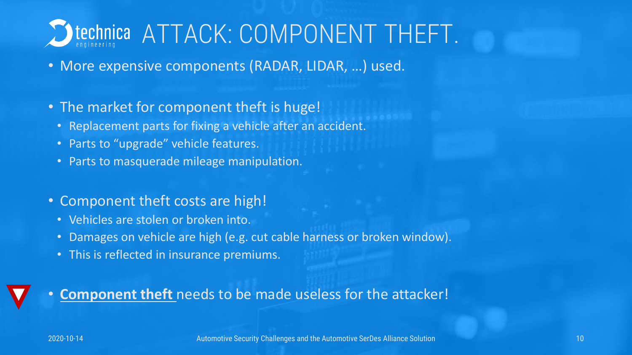# Itechnica ATTACK: COMPONENT THEFT.

- More expensive components (RADAR, LIDAR, …) used.
- The market for component theft is huge!
	- Replacement parts for fixing a vehicle after an accident.
	- Parts to "upgrade" vehicle features.
	- Parts to masquerade mileage manipulation.
- Component theft costs are high!
	- Vehicles are stolen or broken into.
	- Damages on vehicle are high (e.g. cut cable harness or broken window).
	- This is reflected in insurance premiums.

#### • **Component theft** needs to be made useless for the attacker!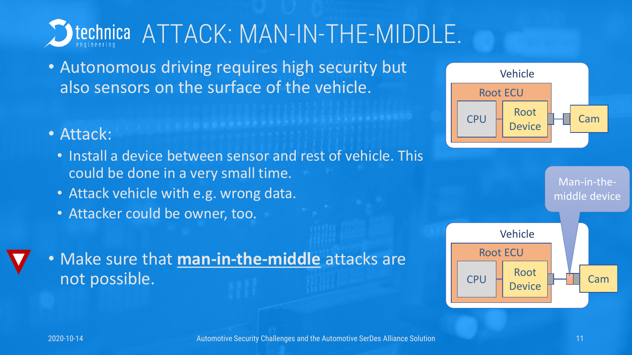

• Autonomous driving requires high security but also sensors on the surface of the vehicle.

#### • Attack:

- Install a device between sensor and rest of vehicle. This could be done in a very small time.
- Attack vehicle with e.g. wrong data.
- Attacker could be owner, too.

## • Make sure that **man-in-the-middle** attacks are not possible.



Man-in-themiddle device

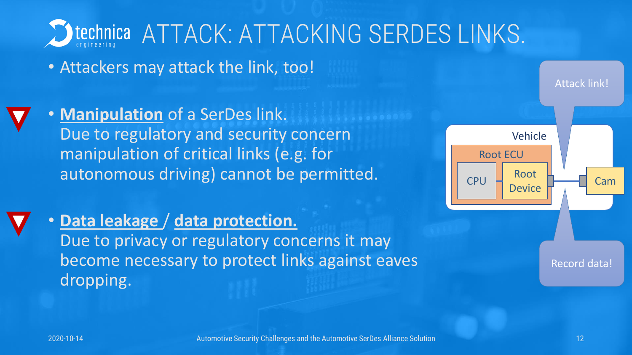

• Attackers may attack the link, too!

• **Manipulation** of a SerDes link. Due to regulatory and security concern manipulation of critical links (e.g. for autonomous driving) cannot be permitted.





Record data!

Attack link!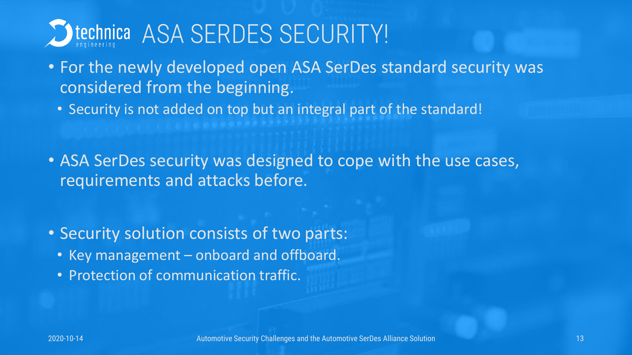

- For the newly developed open ASA SerDes standard security was considered from the beginning.
	- Security is not added on top but an integral part of the standard!
- ASA SerDes security was designed to cope with the use cases, requirements and attacks before.
- Security solution consists of two parts:
	- Key management onboard and offboard.
	- Protection of communication traffic.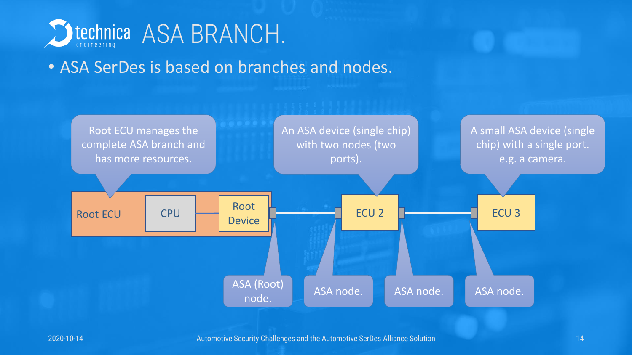

### • ASA SerDes is based on branches and nodes.

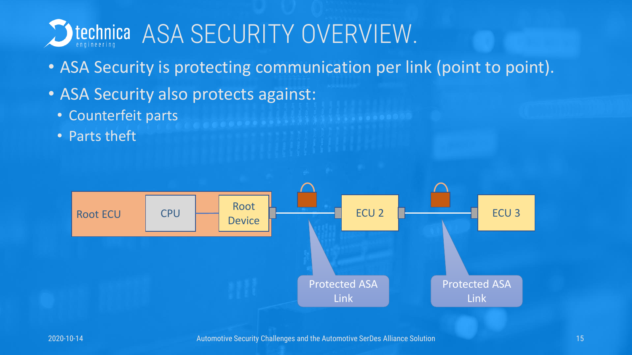

- ASA Security is protecting communication per link (point to point).
- ASA Security also protects against:
	- Counterfeit parts
	- Parts theft

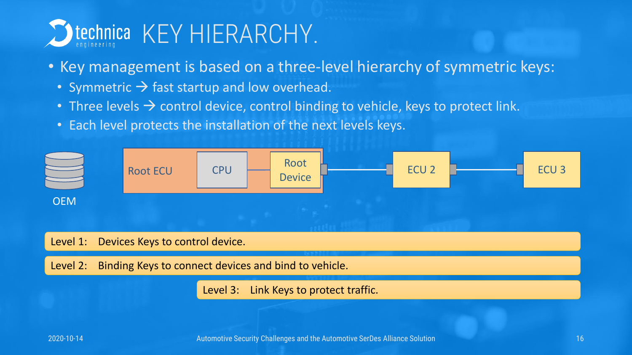

- Key management is based on a three-level hierarchy of symmetric keys:
	- Symmetric  $\rightarrow$  fast startup and low overhead.
	- Three levels  $\rightarrow$  control device, control binding to vehicle, keys to protect link.
	- Each level protects the installation of the next levels keys.

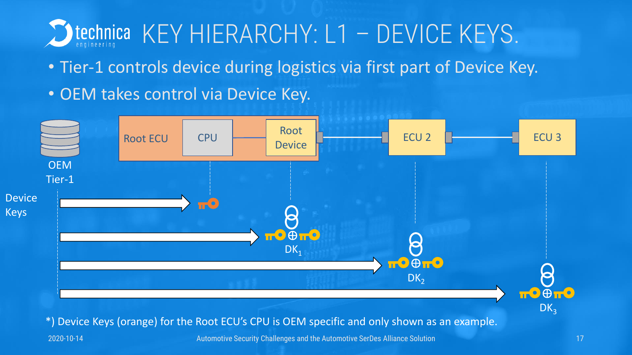

- Tier-1 controls device during logistics via first part of Device Key.
- OEM takes control via Device Key.

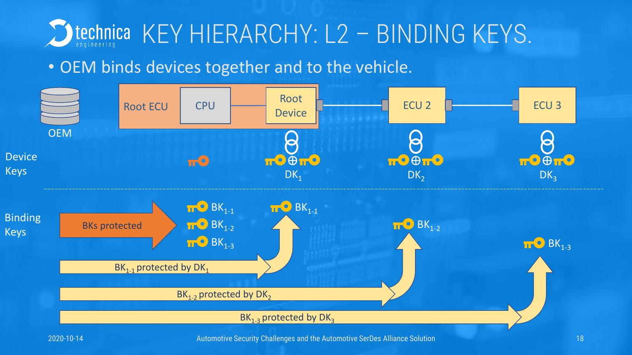

### • OEM binds devices together and to the vehicle.

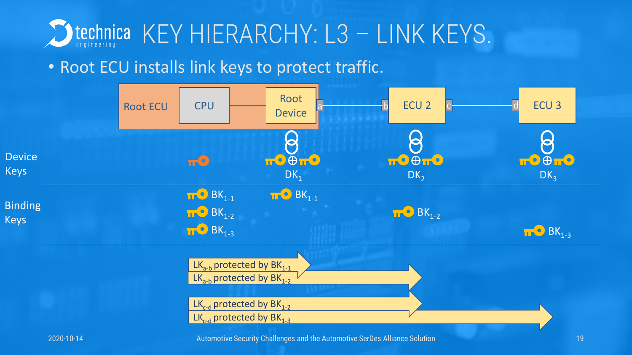

### • Root ECU installs link keys to protect traffic.

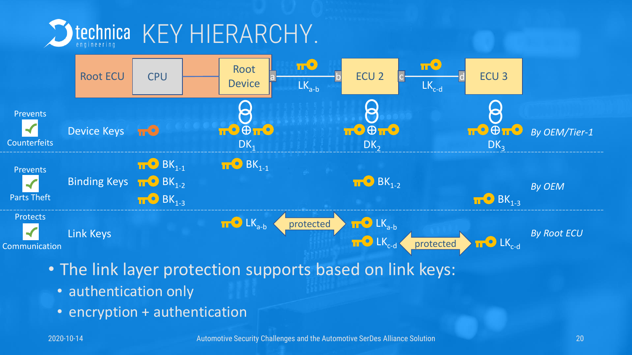



- The link layer protection supports based on link keys:
	- authentication only
	- encryption + authentication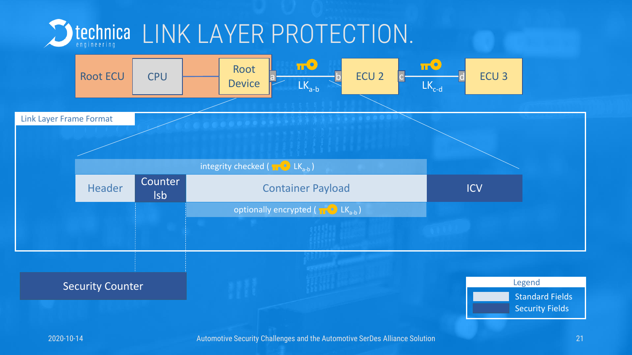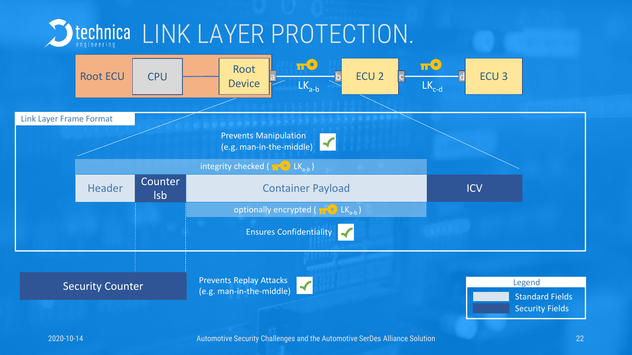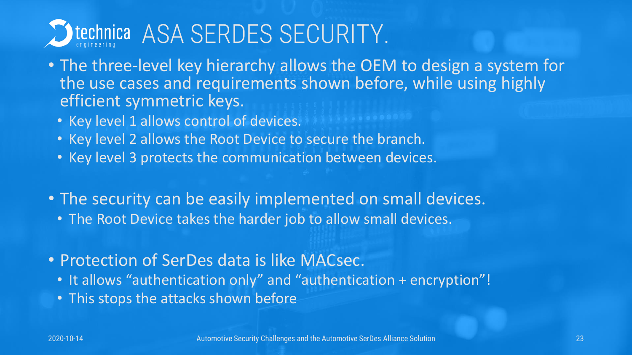

- The three-level key hierarchy allows the OEM to design a system for the use cases and requirements shown before, while using highly efficient symmetric keys.
	- Key level 1 allows control of devices.
	- Key level 2 allows the Root Device to secure the branch.
	- Key level 3 protects the communication between devices.
- The security can be easily implemented on small devices.
	- The Root Device takes the harder job to allow small devices.
- Protection of SerDes data is like MACsec.
	- It allows "authentication only" and "authentication + encryption"!
	- This stops the attacks shown before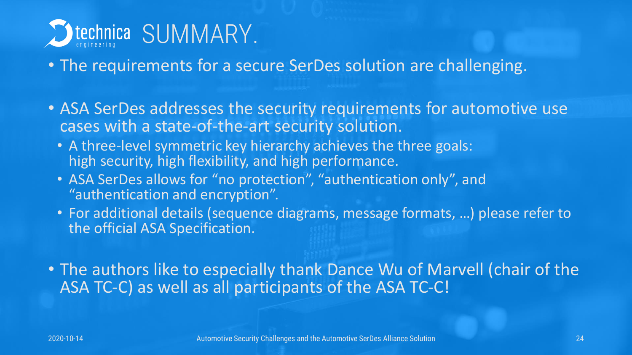

- The requirements for a secure SerDes solution are challenging.
- ASA SerDes addresses the security requirements for automotive use cases with a state-of-the-art security solution.
	- A three-level symmetric key hierarchy achieves the three goals: high security, high flexibility, and high performance.
	- ASA SerDes allows for "no protection", "authentication only", and "authentication and encryption".
	- For additional details (sequence diagrams, message formats, …) please refer to the official ASA Specification.

• The authors like to especially thank Dance Wu of Marvell (chair of the ASA TC-C) as well as all participants of the ASA TC-C!